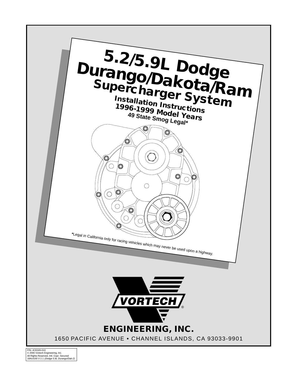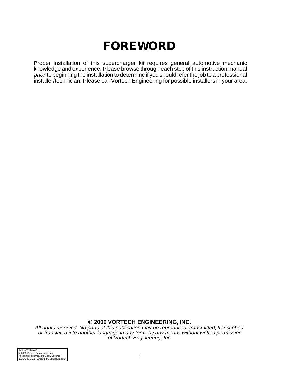# **FOREWORD**

Proper installation of this supercharger kit requires general automotive mechanic knowledge and experience. Please browse through each step of this instruction manual prior to beginning the installation to determine if you should refer the job to a professional installer/technician. Please call Vortech Engineering for possible installers in your area.

#### **© 2000 VORTECH ENGINEERING, INC.**

All rights reserved. No parts of this publication may be reproduced, transmitted, transcribed, or translated into another language in any form, by any means without written permission of Vortech Engineering, Inc.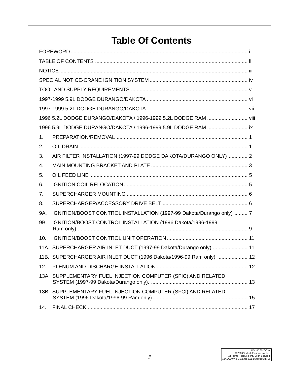# **Table Of Contents**

|                | 1996 5.2L DODGE DURANGO/DAKOTA / 1996-1999 5.2L DODGE RAM  viii      |  |  |  |  |
|----------------|----------------------------------------------------------------------|--|--|--|--|
|                | 1996 5.9L DODGE DURANGO/DAKOTA / 1996-1999 5.9L DODGE RAM  ix        |  |  |  |  |
| 1.             |                                                                      |  |  |  |  |
| 2.             |                                                                      |  |  |  |  |
| 3.             | AIR FILTER INSTALLATION (1997-99 DODGE DAKOTA/DURANGO ONLY)  2       |  |  |  |  |
| 4.             |                                                                      |  |  |  |  |
| 5.             |                                                                      |  |  |  |  |
| 6.             |                                                                      |  |  |  |  |
| 7 <sub>1</sub> |                                                                      |  |  |  |  |
| 8.             |                                                                      |  |  |  |  |
| 9A.            | IGNITION/BOOST CONTROL INSTALLATION (1997-99 Dakota/Durango only)  7 |  |  |  |  |
| 9B.            | IGNITION/BOOST CONTROL INSTALLATION (1996 Dakota/1996-1999           |  |  |  |  |
| 10.            |                                                                      |  |  |  |  |
|                | 11A. SUPERCHARGER AIR INLET DUCT (1997-99 Dakota/Durango only)  11   |  |  |  |  |
|                | 11B. SUPERCHARGER AIR INLET DUCT (1996 Dakota/1996-99 Ram only)  12  |  |  |  |  |
| 12.            |                                                                      |  |  |  |  |
|                | 13A SUPPLEMENTARY FUEL INJECTION COMPUTER (SFIC) AND RELATED         |  |  |  |  |
|                | 13B SUPPLEMENTARY FUEL INJECTION COMPUTER (SFCI) AND RELATED         |  |  |  |  |
| 14.            |                                                                      |  |  |  |  |
|                |                                                                      |  |  |  |  |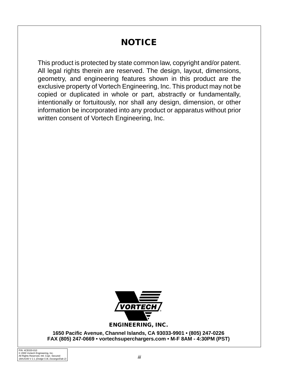# **NOTICE**

This product is protected by state common law, copyright and/or patent. All legal rights therein are reserved. The design, layout, dimensions, geometry, and engineering features shown in this product are the exclusive property of Vortech Engineering, Inc. This product may not be copied or duplicated in whole or part, abstractly or fundamentally, intentionally or fortuitously, nor shall any design, dimension, or other information be incorporated into any product or apparatus without prior written consent of Vortech Engineering, Inc.



**1650 Pacific Avenue, Channel Islands, CA 93033-9901 • (805) 247-0226 FAX (805) 247-0669 • vortechsuperchargers.com • M-F 8AM - 4:30PM (PST)**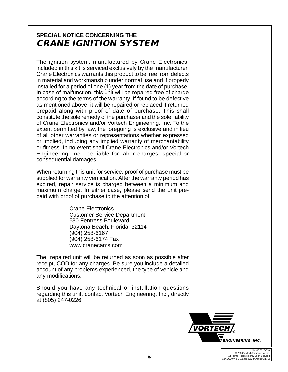# **SPECIAL NOTICE CONCERNING THE CRANE IGNITION SYSTEM**

The ignition system, manufactured by Crane Electronics, included in this kit is serviced exclusively by the manufacturer. Crane Electronics warrants this product to be free from defects in material and workmanship under normal use and if properly installed for a period of one (1) year from the date of purchase. In case of malfunction, this unit will be repaired free of charge according to the terms of the warranty. If found to be defective as mentioned above, it will be repaired or replaced if returned prepaid along with proof of date of purchase. This shall constitute the sole remedy of the purchaser and the sole liability of Crane Electronics and/or Vortech Engineering, Inc. To the extent permitted by law, the foregoing is exclusive and in lieu of all other warranties or representations whether expressed or implied, including any implied warranty of merchantability or fitness. In no event shall Crane Electronics and/or Vortech Engineering, Inc., be liable for labor charges, special or consequential damages.

When returning this unit for service, proof of purchase must be supplied for warranty verification. After the warranty period has expired, repair service is charged between a minimum and maximum charge. In either case, please send the unit prepaid with proof of purchase to the attention of:

> Crane Electronics Customer Service Department 530 Fentress Boulevard Daytona Beach, Florida, 32114 (904) 258-6167 (904) 258-6174 Fax www.cranecams.com

The repaired unit will be returned as soon as possible after receipt, COD for any charges. Be sure you include a detailed account of any problems experienced, the type of vehicle and any modifications.

Should you have any technical or installation questions regarding this unit, contact Vortech Engineering, Inc., directly at (805) 247-0226.

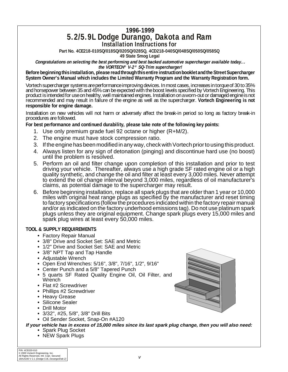# **1996-1999 5.2/5.9L Dodge Durango, Dakota and Ram Installation Instructions for**

**Part No. 4CE218-010SQ/018SQ/020SQ/028SQ, 4CD218-040SQ/048SQ/050SQ/058SQ**

 **49 State Smog Legal**

**Congratulations on selecting the best performing and best backed automotive supercharger available today... the VORTECH® V-2® SQ-Trim supercharger!**

**Before beginning this installation, please read through this entire instruction booklet and the Street Supercharger System Owner's Manual which includes the Limited Warranty Program and the Warranty Registration form.**

Vortech supercharger systems are performance improving devices. In most cases, increases in torque of 30 to 35% and horsepower between 35 and 45% can be expected with the boost levels specified by Vortech Engineering. This product is intended for use on healthy, well maintained engines. Installation on a worn-out or damaged engine is not recommended and may result in failure of the engine as well as the supercharger. **Vortech Engineering is not responsible for engine damage.**

Installation on new vehicles will not harm or adversely affect the break-in period so long as factory break-in procedures are followed.

**For best performance and continued durability, please take note of the following key points:**

- 1. Use only premium grade fuel 92 octane or higher (R+M/2).
- 2. The engine must have stock compression ratio.
- 3. If the engine has been modified in any way, check with Vortech prior to using this product.
- 4. Always listen for any sign of detonation (pinging) and discontinue hard use (no boost) until the problem is resolved.
- 5. Perform an oil and filter change upon completion of this installation and prior to test driving your vehicle. Thereafter, always use a high grade SF rated engine oil or a high quality synthetic, and change the oil and filter at least every 3,000 miles. Never attempt to extend the oil change interval beyond 3,000 miles, regardless of oil manufacturer's claims, as potential damage to the supercharger may result.
- 6. Before beginning installation, replace all spark plugs that are older than 1 year or 10,000 miles with original heat range plugs as specified by the manufacturer and reset timing to factory specifications (follow the procedures indicated within the factory repair manual and/or as indicated on the factory underhood emissions tag). Do not use platinum spark plugs unless they are original equipment. Change spark plugs every 15,000 miles and spark plug wires at least every 50,000 miles.

#### **TOOL & SUPPLY REQUIREMENTS**

- **•** Factory Repair Manual
- **•** 3/8" Drive and Socket Set: SAE and Metric
- **•** 1/2" Drive and Socket Set: SAE and Metric
- **•** 3/8" NPT Tap and Tap Handle
- **•** Adjustable Wrench
- **•** Open End Wrenches: 5/16", 3/8", 7/16", 1/2", 9/16"
- **•** Center Punch and a 5/8" Tapered Punch
- **•** 5 quarts SF Rated Quality Engine Oil, Oil Filter, and **Wrench**
- **•** Flat #2 Screwdriver
- **•** Phillips #2 Screwdriver
- **•** Heavy Grease
- **•** Silicone Sealer
- **•** Drill Motor
- **•** 3/32", #25, 5/8", 3/8" Drill Bits
- **•** Oil Sender Socket, Snap-On #A120

**If your vehicle has in excess of 15,000 miles since its last spark plug change, then you will also need:**

- **•** Spark Plug Socket
- **•** NEW Spark Plugs

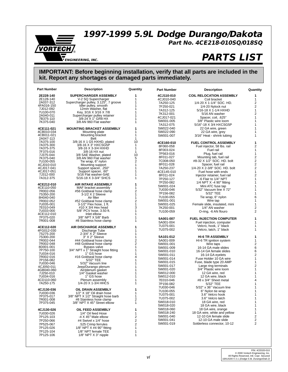**VORTECH** ® **ENGINEERING, INC.** 

# **1997-1999 5.9L Dodge Durango/Dakota**

**Part No. 4CE218-010SQ/018SQ**

# **PARTS LIST**

| <b>Part Number</b>      | <b>Description</b>                                            | Quantity       | Part Number            | <b>Description</b>                                   | Quantity            |
|-------------------------|---------------------------------------------------------------|----------------|------------------------|------------------------------------------------------|---------------------|
| 2E228-140               | SUPERCHARGER ASSEMBLY                                         | 1              | 4CJ110-010             | <b>COIL RELOCATION ASSEMBLY</b>                      | 1                   |
| 2E128-140               | V-2 SQ Supercharger                                           | 1              | 4CJ010-040             | Coil bracket                                         | $\mathbf{1}$        |
| 2A037-312               | Supercharger pulley, 3.125", 7 groove                         | 1              | 7A250-125              | 1/4-20 X 1-1/4" SOC. HD.                             | $\overline{2}$      |
| 4FA016-150              | Idler pulley, smooth                                          | 1              | 7F250-021              | 1/4-20 Nylock nut                                    | $\overline{2}$      |
| 7J012-092               | 12mm Washer, flat                                             | 1              | 7A312-125              | 5/16-18 X 1-1/4 HXHD                                 | $\mathbf{1}$        |
| 7U100-070               | Key, 3/16 X 3/16 X 7/8                                        | 1<br>1         | 7K312-001              | 5/16 AN washer                                       | $\overline{c}$      |
| 2A040-011<br>7B375-110  | Supercharger pulley retainer<br>3/8-24 X 1" GR8 HX            | 1              | 4CJ017-021             | Spacer, coil, .625"                                  | $\mathbf{1}$        |
| 7K375-040               | 3/8 AN 960 Flat washer                                        | 1              | 5W001-005              | 3/8" Plastic wire loom                               | 1                   |
|                         |                                                               |                | 7A312-075              | 5/16"-18 X 3/4 HXCSG5P                               | $\mathbf{1}$        |
| 4CE111-021              | <b>MOUNTING BRACKET ASSEMBLY</b>                              | 1              | 5W022-040              | 22 GA wire, green                                    | 1                   |
| 4CB010-034              | Mounting plate                                                | 1              | 5W022-090              | 22 GA wire, grey                                     | 1                   |
| 4CB011-021              | Mounting bracket                                              | 1              | 5W001-007              | 3/16" Heat - shrink tubing                           | 1                   |
| 2A047-113               | Belt<br>3/8-16 X 1 G5 HXHD, plated                            | 1<br>10        |                        |                                                      |                     |
| 7A375-100<br>7A375-300  | 3/8-16 X 3" HXCSG5P                                           | 1              | 4CE160-010             | <b>FUEL CONTROL ASSEMBLY</b>                         | 1                   |
| 7A375-375               | 3/8-16 X 3-3/4 HXHD                                           | 1              | 8F060-058              | Fuel injector, 58 lbs. rail                          | 2                   |
| 7F375-016               | 3/8-16 HX nut                                                 | $\mathbf{1}$   | 8F003-024              | Fuel rail                                            | 1                   |
| 7J375-044               | 3/8 SAE Washer, plated                                        | 10             | 7P563-016              | Plug, fuel rail                                      | 1                   |
| 7K375-040               | 3/8 AN 960 Flat washer                                        | 5              | 8F011-027              | Mounting tab, fuel rail                              | 2                   |
| 7U100-055               | Tie wrap, 6" nylon                                            | $\overline{c}$ | 7C008-050              | #8-32 X 1/2" SOC. HD. bolt                           | 2                   |
| 4CJ010-010              | Mounting support                                              | $\mathbf{1}$   | 8F011-028              | Spacer, fuel rail                                    | 2                   |
| 4CJ017-041              | Support spacer, .250"                                         | 1<br>1         | 7A250-237              | 1/4-20 X 2-3/8" SOC. HD. bolt                        | $\overline{2}$      |
| 4CJ017-051<br>7J312-000 | Support spacer, .60"<br>5/16 Flat washer-SAE                  | 1              | 4CE145-010             | Fuel hose with ends                                  | 1<br>$\overline{c}$ |
| 7A312-375               | 5/16-18 X 3-3/4" SHCS                                         | 1              | 8F011-024<br>7P250-127 | Injector retainer, fuel rail<br>-6 Flair to 1/4" NPT | 1                   |
|                         |                                                               |                | 7P250-082              | 1/4 NPT $X - 4$ 90 $\degree$ fitting                 | 1                   |
| 4CE212-010              | AIR INTAKE ASSEMBLY                                           | 1              | 5W001-024              | Mini ATC fuse tap                                    | 1                   |
| 4CE110-050              | MAF bracket assembly                                          | 1              | 7U030-046              | 5/32" Vacuum line X 72"                              | $\mathbf{1}$        |
| 7R002-056               | #56 Goldseal hose clamp                                       | 2              | 7P156-082              | 5/32" TEE                                            | 1                   |
| 7S350-200               | 3-1/2 X 2 Sleeve<br>Air filter                                | 1<br>1         | 7U100-055              | Tie wrap, 6" nylon                                   | 6                   |
| 8H040-040<br>7R002-052  | #52 Goldseal hose clamp                                       | 2              | 5W001-001              | Wire tap                                             | 1                   |
| 7U035-001               | 3-1/2" Flex hose, 1 ft.                                       | 1              | 5W001-025              | Female slide, insulated, mini                        | 1                   |
| 7E010-049               | #10 X 3/4 Hex head                                            | 3              | 7K250-001              | 1/4" AN washer                                       | 2                   |
| 7U033-000               | 5/8" PCV hose, 3.50 ft.                                       | 1              | 7U100-059              | O-ring, -6 AN flouro                                 | 2                   |
| 4CE112-010              | Inlet elbow                                                   | 1              |                        |                                                      |                     |
| 7P375-020               | 3/8" NPT X 5/8" Barb                                          | 1              | 5A001-007              | <b>FUEL INJECTION COMPUTER</b>                       | 1                   |
| 7R001-008               | #8 Stainless hose clamp                                       | 1              | 5A001-004              | Fuel injection, computer                             | 1                   |
| 4CE112-020              | <b>AIR DISCHARGE ASSEMBLY</b>                                 | 1              | 7U375-001              | Velcro, hook, 1" black                               | 1                   |
| 4FG012-030              |                                                               | 1              | 7U375-002              | Velcro, latch, 1" black                              | 1                   |
| 7S275-200               | Discharge Tube<br>2-3/4" X 2" Sleeve                          | 1              |                        |                                                      |                     |
| 7S300-200               | 3" X 2" Sleeve                                                | 1              | 5A101-012              | <b>HI-6 TR ASSEMBLY</b>                              | 1                   |
| 7R002-044               | #44 Goldseal hose clamp                                       | $\frac{2}{2}$  | 5A001-009              | HI-6 TR ignition system                              | 1                   |
| 7R002-048<br>8D001-001  | #48 Goldseal hose clamp<br>Bypass valve                       | $\mathbf{1}$   | 5W001-001              | Wire taps                                            | $\boldsymbol{2}$    |
| 7P750-100               | 3/4" NPT x 1" Straight hose fitting                           | 1              | 5W001-009              | 16-14 GA male slides                                 | 6<br>6              |
| 7U034-016               | 1" GS hose                                                    | 1              | 5W001-010              | 16-14 GA female slides                               | 2                   |
| 7R002-016               | #16 Goldseal hose clamp                                       | 4              | 5W001-011              | 16-14 GA eyelets<br>Fuse Holder 10 GA wire           | 1                   |
| 7P156-082               | 5/32" TEE                                                     | 1              | 5W001-014<br>5W001-015 | Fuse, blade type 20 AMP                              | 1                   |
| 7U030-046               | 5/32" Vacuum line                                             | 1              | 5W001-017              | Large ring terminals                                 | $\overline{2}$      |
| 4CJ050-011              | Jeep/Durango plenum                                           | 1              | 5W001-020              | 3/4" Plastic wire loom                               | $\mathbf{1}$        |
| 4GB040-060<br>7J250-010 | Air/plenum gasket<br>1/4" Gasket washer                       | 1<br>1         | 5W012-000              | 12 GA wire, red                                      | 1                   |
| 7U034-016               | 1" GS hose                                                    | 1              | 5W012-010              | 12 GA wire, black                                    | 1                   |
| 4CD110-060              | Plenum assembly                                               | 1              | 7E010-046              | #8 x 3/4" Sheet metal                                | 4                   |
| 7A250-175               | 1/4-20 X 1-3/4 HHCS                                           | 1              | 7P156-082              | 5/32" TEE                                            | 1                   |
|                         |                                                               |                | 7U030-046              | 5/32" x 36" Vacuum line                              | 1                   |
| 4CJ130-036              | <b>OIL DRAIN ASSEMBLY</b>                                     | 1              | 7U100-055              | 6" Nylon tie wrap                                    | 1                   |
| 7U030-036               | 1/2" X 18" Oil drain hose                                     | 1              | 7U375-001              | 3.6" Velcro hook                                     | 1                   |
| 7P375-017<br>7R001-008  | 3/8" NPT X 1/2" Straight hose barb<br>#8 Stainless hose clamp | 1              | 7U375-002              | 3.6" Velcro latch                                    | 1                   |
| 7P375-045               | 3/8" NPT X 45° Street elbow                                   | 2<br>1         | 5W018-010              | 18 GA wire, red                                      | 1                   |
|                         |                                                               |                | 5W018-020              | 18 GA wire, black                                    | 1                   |
| 4CJ130-026              | OIL FEED ASSEMBLY                                             | 1              | 5W018-060              | 18 GA wire, orange                                   | 1                   |
| 7U030-026               | 1/4" Oil feed Hose                                            | 1              | 5W018-240              | 18 GA wire, white and yellow                         | 1                   |
| 7P125-103               | -4 $\times$ 45 $^{\circ}$ Male elbow                          | 2              | 5W001-040              | 12-10 GA female slide                                | 2                   |
| 7P250-066               | #4 Swivel x 1/4" hose                                         | 2              | 5W001-041              | 12-10 GA male slide                                  | 2                   |
| 7P525-067               | .525 Crimp ferrules                                           | 2              | 5W001-019              | Solderless connector, 10-12                          | $\overline{2}$      |
| 7P125-026               | 1/8" NPT X #4 90° fitting                                     | 1              |                        |                                                      |                     |
| 7P125-104               | 1/8" NPT female TEE                                           | 1              |                        |                                                      |                     |
| 7P125-106               | $1/8"$ NPT $X$ 3" nipple                                      | 1              |                        |                                                      |                     |
|                         |                                                               |                |                        |                                                      |                     |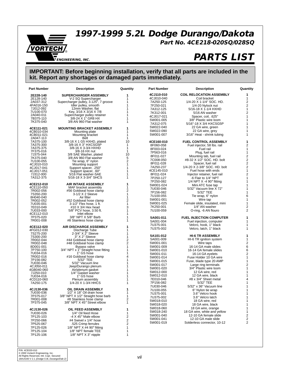**1997-1999 5.2L Dodge Durango/Dakota**

**Part No. 4CE218-020SQ/028SQ**



# **PARTS LIST**

| 4CJ110-010<br><b>COIL RELOCATION ASSEMBLY</b><br>2E228-140<br>SUPERCHARGER ASSEMBLY<br>1<br>4CJ010-040<br>Coil bracket<br>2E128-140<br>V-2 SQ Supercharger<br>1<br>1<br>1/4-20 X 1-1/4" SOC. HD.<br>2A037-312<br>Supercharger pulley, 3.125", 7 groove<br>7A250-125<br>Idler pulley, smooth<br>4FA016-150<br>1<br>7F250-021<br>1/4-20 Nylock nut<br>12mm Washer, flat<br>7J012-092<br>1<br>7A312-125<br>5/16-18 X 1-1/4 HXHD<br>Key, 3/16 X 3/16 X 7/8<br>1<br>7U100-070<br>7K312-001<br>5/16 AN washer<br>Supercharger pulley retainer<br>2A040-011<br>1<br>4CJ017-021<br>Spacer, coil, .625"<br>3/8-24 X 1" GR8 HX<br>7B375-110<br>1<br>3/8" Plastic wire loom<br>5W001-005<br>3/8 AN 960 Flat washer<br>1<br>7K375-040<br>5/16"-18 X 3/4 HXCSG5P<br>7A312-075<br>5W022-040<br>22 GA wire, green<br>4CE111-021<br><b>MOUNTING BRACKET ASSEMBLY</b><br>1 | 1<br>1<br>2<br>$\overline{c}$<br>1<br>2<br>$\mathbf{1}$<br>1<br>1<br>1<br>1<br>1 |
|-----------------------------------------------------------------------------------------------------------------------------------------------------------------------------------------------------------------------------------------------------------------------------------------------------------------------------------------------------------------------------------------------------------------------------------------------------------------------------------------------------------------------------------------------------------------------------------------------------------------------------------------------------------------------------------------------------------------------------------------------------------------------------------------------------------------------------------------------------------|----------------------------------------------------------------------------------|
|                                                                                                                                                                                                                                                                                                                                                                                                                                                                                                                                                                                                                                                                                                                                                                                                                                                           |                                                                                  |
|                                                                                                                                                                                                                                                                                                                                                                                                                                                                                                                                                                                                                                                                                                                                                                                                                                                           |                                                                                  |
|                                                                                                                                                                                                                                                                                                                                                                                                                                                                                                                                                                                                                                                                                                                                                                                                                                                           |                                                                                  |
|                                                                                                                                                                                                                                                                                                                                                                                                                                                                                                                                                                                                                                                                                                                                                                                                                                                           |                                                                                  |
|                                                                                                                                                                                                                                                                                                                                                                                                                                                                                                                                                                                                                                                                                                                                                                                                                                                           |                                                                                  |
|                                                                                                                                                                                                                                                                                                                                                                                                                                                                                                                                                                                                                                                                                                                                                                                                                                                           |                                                                                  |
|                                                                                                                                                                                                                                                                                                                                                                                                                                                                                                                                                                                                                                                                                                                                                                                                                                                           |                                                                                  |
|                                                                                                                                                                                                                                                                                                                                                                                                                                                                                                                                                                                                                                                                                                                                                                                                                                                           |                                                                                  |
|                                                                                                                                                                                                                                                                                                                                                                                                                                                                                                                                                                                                                                                                                                                                                                                                                                                           |                                                                                  |
| 5W022-090<br>22 GA wire, grey<br>1<br>4CB010-034<br>Mounting plate                                                                                                                                                                                                                                                                                                                                                                                                                                                                                                                                                                                                                                                                                                                                                                                        |                                                                                  |
| 3/16" Heat - shrink tubing<br>5W001-007<br>4CB011-021<br>Mounting bracket<br>1                                                                                                                                                                                                                                                                                                                                                                                                                                                                                                                                                                                                                                                                                                                                                                            |                                                                                  |
| 2A047-113<br>Belt<br>1                                                                                                                                                                                                                                                                                                                                                                                                                                                                                                                                                                                                                                                                                                                                                                                                                                    |                                                                                  |
| 10<br>3/8-16 X 1 G5 HXHD, plated<br>7A375-100<br>4CE160-010<br><b>FUEL CONTROL ASSEMBLY</b>                                                                                                                                                                                                                                                                                                                                                                                                                                                                                                                                                                                                                                                                                                                                                               | 1                                                                                |
| 3/8-16 X 3" HXCSG5P<br>7A375-300<br>1<br>8F060-058<br>Fuel injector, 58 lbs. rail                                                                                                                                                                                                                                                                                                                                                                                                                                                                                                                                                                                                                                                                                                                                                                         | 2                                                                                |
| 3/8-16 X 3-3/4 HXHD<br>7A375-375<br>1<br>Fuel rail<br>8F003-024<br>1<br>7F375-016<br>3/8-16 HX nut                                                                                                                                                                                                                                                                                                                                                                                                                                                                                                                                                                                                                                                                                                                                                        | 1                                                                                |
| Plug, fuel rail<br>7P563-016<br>10<br>7J375-044<br>3/8 SAE Washer, plated                                                                                                                                                                                                                                                                                                                                                                                                                                                                                                                                                                                                                                                                                                                                                                                 | $\mathbf{1}$                                                                     |
| Mounting tab, fuel rail<br>8F011-027<br>5<br>7K375-040<br>3/8 AN 960 Flat washer                                                                                                                                                                                                                                                                                                                                                                                                                                                                                                                                                                                                                                                                                                                                                                          | $\overline{\mathbf{c}}$                                                          |
| #8-32 X 1/2" SOC. HD. bolt<br>7C008-050<br>$\overline{c}$<br>7U100-055<br>Tie wrap, 6" nylon                                                                                                                                                                                                                                                                                                                                                                                                                                                                                                                                                                                                                                                                                                                                                              | 2                                                                                |
| Spacer, fuel rail<br>8F011-028<br>1<br>4CJ010-010<br>Mounting support<br>7A250-237<br>1/4-20 X 2-3/8" SOC. HD. bolt                                                                                                                                                                                                                                                                                                                                                                                                                                                                                                                                                                                                                                                                                                                                       | $\overline{\mathbf{c}}$<br>$\overline{\mathbf{c}}$                               |
| 4CJ017-041<br>Support spacer, .250"<br>1<br>4CE145-010<br>Fuel hose with ends<br>1<br>4CJ017-051<br>Support spacer, .60"                                                                                                                                                                                                                                                                                                                                                                                                                                                                                                                                                                                                                                                                                                                                  | 1                                                                                |
| 5/16 Flat washer-SAE<br>7J312-000<br>1<br>8F011-024<br>Injector retainer, fuel rail                                                                                                                                                                                                                                                                                                                                                                                                                                                                                                                                                                                                                                                                                                                                                                       | $\overline{c}$                                                                   |
| 5/16-18 X 3-3/4" SHCS<br>7A312-375<br>1<br>7P250-127<br>-6 Flair to 1/4" NPT                                                                                                                                                                                                                                                                                                                                                                                                                                                                                                                                                                                                                                                                                                                                                                              | 1                                                                                |
| 7P250-082<br>1/4 NPT $X - 4$ 90° fitting                                                                                                                                                                                                                                                                                                                                                                                                                                                                                                                                                                                                                                                                                                                                                                                                                  | 1                                                                                |
| 4CE212-010<br><b>AIR INTAKE ASSEMBLY</b><br>1<br>5W001-024<br>Mini ATC fuse tap                                                                                                                                                                                                                                                                                                                                                                                                                                                                                                                                                                                                                                                                                                                                                                           | 1                                                                                |
| 4CE110-050<br>MAF bracket assembly<br>1<br>5/32" Vacuum line X 72"<br>7U030-046                                                                                                                                                                                                                                                                                                                                                                                                                                                                                                                                                                                                                                                                                                                                                                           | 1                                                                                |
| $\overline{\mathbf{c}}$<br>7R002-056<br>#56 Goldseal hose clamp<br>5/32" TEE<br>7P156-082<br>3-1/2 X 2 Sleeve<br>1<br>7S350-200                                                                                                                                                                                                                                                                                                                                                                                                                                                                                                                                                                                                                                                                                                                           | 1                                                                                |
| Tie wrap, 6" nylon<br>7U100-055<br>1<br>8H040-040<br>Air filter                                                                                                                                                                                                                                                                                                                                                                                                                                                                                                                                                                                                                                                                                                                                                                                           | 6                                                                                |
| Wire tap<br>5W001-001<br>$\overline{\mathbf{c}}$<br>#52 Goldseal hose clamp<br>7R002-052                                                                                                                                                                                                                                                                                                                                                                                                                                                                                                                                                                                                                                                                                                                                                                  | 1                                                                                |
| Female slide, insulated, mini<br>5W001-025<br>1<br>7U035-001<br>3-1/2" Flex hose, 1 ft.                                                                                                                                                                                                                                                                                                                                                                                                                                                                                                                                                                                                                                                                                                                                                                   | 1                                                                                |
| 3<br>7K250-001<br>1/4" AN washer<br>#10 X 3/4 Hex head<br>7E010-049                                                                                                                                                                                                                                                                                                                                                                                                                                                                                                                                                                                                                                                                                                                                                                                       | 2                                                                                |
| 5/8" PCV hose, 3.50 ft.<br>1<br>O-ring, -6 AN flouro<br>7U033-000<br>7U100-059<br>4CE112-010<br>Inlet elbow<br>1                                                                                                                                                                                                                                                                                                                                                                                                                                                                                                                                                                                                                                                                                                                                          | $\overline{2}$                                                                   |
| 7P375-020<br>3/8" NPT X 5/8" Barb<br>1<br><b>FUEL INJECTION COMPUTER</b><br>5A001-011                                                                                                                                                                                                                                                                                                                                                                                                                                                                                                                                                                                                                                                                                                                                                                     | 1                                                                                |
| 1<br>7R001-008<br>#8 Stainless hose clamp<br>5A001-004<br>Fuel injection, computer                                                                                                                                                                                                                                                                                                                                                                                                                                                                                                                                                                                                                                                                                                                                                                        | 1                                                                                |
| 7U375-001<br>Velcro, hook, 1" black                                                                                                                                                                                                                                                                                                                                                                                                                                                                                                                                                                                                                                                                                                                                                                                                                       | 1                                                                                |
| 4CE112-020<br><b>AIR DISCHARGE ASSEMBLY</b><br>1<br>7U375-002<br>Velcro, latch, 1" black<br>1                                                                                                                                                                                                                                                                                                                                                                                                                                                                                                                                                                                                                                                                                                                                                             | 1                                                                                |
| 4FG012-030<br>Discharge Tube<br>2-3/4" X 2" Sleeve<br>7S275-200<br>1                                                                                                                                                                                                                                                                                                                                                                                                                                                                                                                                                                                                                                                                                                                                                                                      |                                                                                  |
| <b>HI-6 TR ASSEMBLY</b><br>5A101-012<br>3" X 2" Sleeve<br>1<br>7S300-200                                                                                                                                                                                                                                                                                                                                                                                                                                                                                                                                                                                                                                                                                                                                                                                  | 1                                                                                |
| HI-6 TR ignition system<br>5A001-009<br>$\overline{\mathbf{c}}$<br>7R002-044<br>#44 Goldseal hose clamp                                                                                                                                                                                                                                                                                                                                                                                                                                                                                                                                                                                                                                                                                                                                                   | 1                                                                                |
| $\overline{\mathbf{c}}$<br>Wire taps<br>#48 Goldseal hose clamp<br>5W001-001<br>7R002-048                                                                                                                                                                                                                                                                                                                                                                                                                                                                                                                                                                                                                                                                                                                                                                 | 2                                                                                |
| 1<br>16-14 GA male slides<br>8D001-001<br>Bypass valve<br>5W001-009<br>1                                                                                                                                                                                                                                                                                                                                                                                                                                                                                                                                                                                                                                                                                                                                                                                  | 6                                                                                |
| 3/4" NPT x 1" Straight hose fitting<br>7P750-100<br>5W001-010<br>16-14 GA female slides<br>1" GS hose<br>7U034-016<br>1                                                                                                                                                                                                                                                                                                                                                                                                                                                                                                                                                                                                                                                                                                                                   | 6<br>2                                                                           |
| 5W001-011<br>16-14 GA eyelets<br>$\overline{4}$<br>7R002-016<br>#16 Goldseal hose clamp<br>5W001-014<br>Fuse Holder 10 GA wire                                                                                                                                                                                                                                                                                                                                                                                                                                                                                                                                                                                                                                                                                                                            | $\mathbf{1}$                                                                     |
| $\mathbf{1}$<br>7P156-082<br>5/32" TEE<br>Fuse, blade type 20 AMP<br>5W001-015                                                                                                                                                                                                                                                                                                                                                                                                                                                                                                                                                                                                                                                                                                                                                                            | 1                                                                                |
| 7U030-046<br>5/32" Vacuum line<br>1<br>Large ring terminals<br>5W001-017                                                                                                                                                                                                                                                                                                                                                                                                                                                                                                                                                                                                                                                                                                                                                                                  | 2                                                                                |
| 4CJ050-011<br>Jeep/Durango plenum<br>1<br>3/4" Plastic wire loom<br>5W001-020<br>1                                                                                                                                                                                                                                                                                                                                                                                                                                                                                                                                                                                                                                                                                                                                                                        | 1                                                                                |
| 4GB040-060<br>Air/plenum gasket<br>5W012-000<br>12 GA wire, red<br>1/4" Gasket washer<br>7J250-010<br>1                                                                                                                                                                                                                                                                                                                                                                                                                                                                                                                                                                                                                                                                                                                                                   | 1                                                                                |
| 5W012-010<br>12 GA wire, black<br>1" GS hose<br>7U034-016<br>1                                                                                                                                                                                                                                                                                                                                                                                                                                                                                                                                                                                                                                                                                                                                                                                            | 1                                                                                |
| #8 x 3/4" Sheet metal<br>7E010-046<br>Plenum assembly<br>1<br>4CD110-060                                                                                                                                                                                                                                                                                                                                                                                                                                                                                                                                                                                                                                                                                                                                                                                  | 4                                                                                |
| 1/4-20 X 1-3/4 HHCS<br>5/32" TEE<br>7A250-175<br>1<br>7P156-082                                                                                                                                                                                                                                                                                                                                                                                                                                                                                                                                                                                                                                                                                                                                                                                           | 1                                                                                |
| 7U030-046<br>5/32" x 36" Vacuum line<br>OIL DRAIN ASSEMBLY                                                                                                                                                                                                                                                                                                                                                                                                                                                                                                                                                                                                                                                                                                                                                                                                | 1                                                                                |
| 4CJ130-036<br>1<br>7U100-055<br>6" Nylon tie wrap<br>7U030-036<br>1/2" X 18" Oil drain hose<br>1                                                                                                                                                                                                                                                                                                                                                                                                                                                                                                                                                                                                                                                                                                                                                          | 1                                                                                |
| 3.6" Velcro hook<br>7U375-001<br>3/8" NPT X 1/2" Straight hose barb<br>1<br>7P375-017                                                                                                                                                                                                                                                                                                                                                                                                                                                                                                                                                                                                                                                                                                                                                                     | $\mathbf{1}$                                                                     |
| 7U375-002<br>3.6" Velcro latch<br>2<br>7R001-008<br>#8 Stainless hose clamp<br>18 GA wire, red<br>5W018-010                                                                                                                                                                                                                                                                                                                                                                                                                                                                                                                                                                                                                                                                                                                                               | 1<br>1                                                                           |
| 3/8" NPT X 45° Street elbow<br>1<br>7P375-045<br>5W018-020<br>18 GA wire, black                                                                                                                                                                                                                                                                                                                                                                                                                                                                                                                                                                                                                                                                                                                                                                           | 1                                                                                |
| 5W018-060<br>18 GA wire, orange                                                                                                                                                                                                                                                                                                                                                                                                                                                                                                                                                                                                                                                                                                                                                                                                                           | 1                                                                                |
| 4CJ130-026<br>OIL FEED ASSEMBLY<br>1<br>5W018-240<br>18 GA wire, white and vellow                                                                                                                                                                                                                                                                                                                                                                                                                                                                                                                                                                                                                                                                                                                                                                         | $\mathbf{1}$                                                                     |
| 7U030-026<br>1/4" Oil feed Hose<br>1<br>5W001-040<br>12-10 GA female slide<br>$\mathbf 2$<br>7P125-103<br>-4 $\times$ 45 $^{\circ}$ Male elbow                                                                                                                                                                                                                                                                                                                                                                                                                                                                                                                                                                                                                                                                                                            | 2                                                                                |
| 12-10 GA male slide<br>5W001-041<br>$\mathbf 2$<br>7P250-066<br>#4 Swivel x 1/4" hose                                                                                                                                                                                                                                                                                                                                                                                                                                                                                                                                                                                                                                                                                                                                                                     | $\boldsymbol{2}$                                                                 |
| 5W001-019<br>Solderless connector, 10-12<br>$\overline{2}$<br>7P525-067<br>.525 Crimp ferrules                                                                                                                                                                                                                                                                                                                                                                                                                                                                                                                                                                                                                                                                                                                                                            | $\overline{2}$                                                                   |
| 1/8" NPT X #4 90° fitting<br>$\mathbf{1}$<br>7P125-026                                                                                                                                                                                                                                                                                                                                                                                                                                                                                                                                                                                                                                                                                                                                                                                                    |                                                                                  |
| 1/8" NPT female TEE<br>7P125-104<br>1                                                                                                                                                                                                                                                                                                                                                                                                                                                                                                                                                                                                                                                                                                                                                                                                                     |                                                                                  |
| 7P125-106<br>1/8" NPT X 3" nipple<br>1                                                                                                                                                                                                                                                                                                                                                                                                                                                                                                                                                                                                                                                                                                                                                                                                                    |                                                                                  |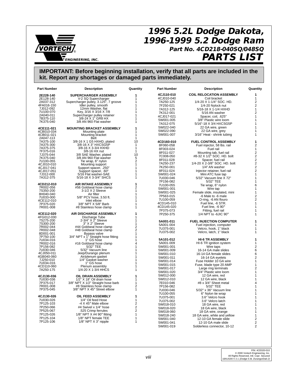

# **1996 5.2L Dodge Dakota, 1996-1999 5.2 Dodge Ram** ® **Part No. 4CD218-040SQ/048SQ ENGINEERING, INC. PARTS LIST**

| <b>Part Number</b>       | <b>Description</b>                                                | Quantity       | <b>Part Number</b>     | <b>Description</b>                          | Quantity                |
|--------------------------|-------------------------------------------------------------------|----------------|------------------------|---------------------------------------------|-------------------------|
| 2E228-140                | SUPERCHARGER ASSEMBLY                                             | 1              | 4CJ110-010             | <b>COIL RELOCATION ASSEMBLY</b>             | 1                       |
| 2E128-140                | V-2 SQ Supercharger                                               | 1              | 4CJ010-040             | Coil bracket                                | 1                       |
| 2A037-312                | Supercharger pulley, 3.125", 7 groove<br>Idler pulley, smooth     | 1              | 7A250-125              | 1/4-20 X 1-1/4" SOC. HD.                    | 2                       |
| 4FA016-150               |                                                                   | 1              | 7F250-021              | 1/4-20 Nylock nut                           | 2                       |
| 7J012-092<br>7U100-070   | 12mm Washer, flat<br>Key, 3/16 X 3/16 X 7/8                       | 1<br>1         | 7A312-125              | 5/16-18 X 1-1/4 HXHD                        | 1                       |
| 2A040-011                | Supercharger pulley retainer                                      | 1              | 7K312-001              | 5/16 AN washer                              | 2                       |
| 7B375-110                | 3/8-24 X 1" GR8 HX                                                | 1              | 4CJ017-021             | Spacer, coil. .625"                         | $\mathbf{1}$            |
| 7K375-040                | 3/8 AN 960 Flat washer                                            | 1              | 5W001-005              | 3/8" Plastic wire loom                      | 1<br>$\mathbf{1}$       |
|                          |                                                                   |                | 7A312-075<br>5W022-040 | 5/16"-18 X 3/4 HXCSG5P<br>22 GA wire, green | 1                       |
| 4CE111-021               | <b>MOUNTING BRACKET ASSEMBLY</b>                                  | 1              | 5W022-090              | 22 GA wire, grey                            | 1                       |
| 4CB010-034<br>4CB011-021 | Mounting plate<br>Mounting bracket                                | 1<br>1         | 5W001-007              | 3/16" Heat - shrink tubing                  | 1                       |
| 2A047-113                | Belt                                                              | 1              |                        |                                             |                         |
| 7A375-100                | 3/8-16 X 1 G5 HXHD, plated                                        | 10             | 4CD160-010             | <b>FUEL CONTROL ASSEMBLY</b>                | 1                       |
| 7A375-300                | 3/8-16 X 3" HXCSG5P                                               | 1              | 8F060-058              | Fuel injector, 58 lbs. rail                 | 2                       |
| 7A375-375                | 3/8-16 X 3-3/4 HXHD                                               | 1              | 8F003-024              | Fuel rail                                   | $\mathbf{1}$            |
| 7F375-016<br>7J375-044   | 3/8-16 HX nut<br>3/8 SAE Washer, plated                           | 1<br>10        | 8F011-027              | Mounting tab, fuel rail                     | 2                       |
| 7K375-040                | 3/8 AN 960 Flat washer                                            | 5              | 7C008-050              | #8-32 X 1/2" SOC. HD. bolt                  | $\frac{2}{2}$           |
| 7U100-055                | Tie wrap, 6" nylon                                                | $\overline{2}$ | 8F011-028              | Spacer, fuel rail                           |                         |
| 4CJ010-010               | Mounting support                                                  | 1              | 7A250-237              | 1/4-20 X 2-3/8" SOC. HD. bolt               | 2                       |
| 4CJ017-041               | Support spacer, .250"                                             | 1              | 7K250-001              | 1/4" AN washer                              | 2                       |
| 4CJ017-051               | Support spacer, .60"                                              | 1              | 8F011-024              | Injector retainer, fuel rail                | $\overline{2}$          |
| 7J312-000<br>7A312-375   | 5/16 Flat washer-SAE<br>5/16-18 X 3-3/4" SHCS                     | 1<br>1         | 5W001-024              | Mini ATC fuse tap                           | 1                       |
|                          |                                                                   |                | 7U030-046              | 5/32" Vacuum line X 72"                     | 1<br>1                  |
| 4CD212-010               | <b>AIR INTAKE ASSEMBLY</b>                                        | 1              | 7P156-082<br>7U100-055 | 5/32" TEE                                   | 6                       |
| 7R002-056                | #56 Goldseal hose clamp                                           | 2              | 5W001-001              | Tie wrap, 6" nylon<br>Wire tap              | 1                       |
| 7S350-200                | 3-1/2 X 2 Sleeve                                                  | 1              | 5W001-025              | Female slide, insulated, mini               | 1                       |
| 8H040-040                | Air filter                                                        | 1              | 7P563-015              | -6 Male to -6 male                          | $\overline{2}$          |
| 7U033-000                | 5/8" PCV hose, 3.50 ft.                                           | 1<br>1         | 7U100-059              | O-ring, -6 AN flouro                        | 2                       |
| 4CE112-010<br>7P375-020  | Inlet elbow<br>3/8" NPT X 5/8" Barb                               | 1              | 4CD145-010             | Fuel line, -6 STR.                          | $\mathbf{1}$            |
| 7R001-008                | #8 Stainless hose clamp                                           | 1              | 4CD145-020             | Fuel line, $-6.90^\circ$                    | 1                       |
|                          |                                                                   |                | 7P375-073              | Fitting, fuel rail                          | $\mathbf{1}$            |
| 4CE112-020               | <b>AIR DISCHARGE ASSEMBLY</b>                                     | 1              | 7P250-375              | 1/4 NPT to -6JIC 90°                        | 1                       |
| 4FG012-030               | Discharge Tube                                                    | 1              |                        |                                             |                         |
| 7S275-200<br>7S300-200   | 2-3/4" X 2" Sleeve<br>3" X 2" Sleeve                              | 1<br>1         | 5A001-011              | <b>FUEL INJECTION COMPUTER</b>              | 1                       |
| 7R002-044                | #44 Goldseal hose clamp                                           | 2              | 5A001-004              | Fuel injection, computer                    | 1                       |
| 7R002-048                | #48 Goldseal hose clamp                                           | $\overline{2}$ | 7U375-001              | Velcro, hook, 1" black                      | 1                       |
| 8D001-001                | Bypass valve<br>3/4" NPT x 1" Straight hose fitting<br>1" GS hose | 1              | 7U375-002              | Velcro, latch, 1" black                     | 1                       |
| 7P750-100                |                                                                   | 1              |                        |                                             | 1                       |
| 7U034-016                |                                                                   | 1              | 5A101-012<br>5A001-009 | <b>HI-6 TR ASSEMBLY</b>                     | $\mathbf{1}$            |
| 7R002-016<br>7P156-082   | #16 Goldseal hose clamp<br>5/32" TEE                              | 4<br>1         | 5W001-001              | HI-6 TR ignition system<br>Wire taps        | $\overline{2}$          |
| 7U030-046                | 5/32" Vacuum line                                                 | 1              | 5W001-009              | 16-14 GA male slides                        | 6                       |
| 4CJ050-011               | Jeep/Durango plenum                                               | 1              | 5W001-010              | 16-14 GA female slides                      | 6                       |
| 4GB040-060               | Air/plenum gasket                                                 | 1              | 5W001-011              | 16-14 GA eyelets                            | 2                       |
| 7J250-010                | 1/4" Gasket washer                                                | 1              | 5W001-014              | Fuse Holder 10 GA wire                      | 1                       |
| 7U034-016                | 1" GS hose                                                        | 1<br>1         | 5W001-015              | Fuse, blade type 20 AMP                     | 1                       |
| 4CD110-060<br>7A250-175  | Plenum assembly<br>1/4-20 X 1-3/4 HHCS                            | 1              | 5W001-017              | Large ring terminals                        | 2                       |
|                          |                                                                   |                | 5W001-020              | 3/4" Plastic wire loom                      | 1                       |
| 4CJ130-036               | OIL DRAIN ASSEMBLY                                                | 1              | 5W012-000              | 12 GA wire, red                             | 1                       |
| 7U030-036                | 1/2" X 18" Oil drain hose                                         | 1              | 5W012-010              | 12 GA wire, black                           | 1                       |
| 7P375-017                | 3/8" NPT X 1/2" Straight hose barb                                | 1              | 7E010-046              | #8 x 3/4" Sheet metal                       | 4                       |
| 7R001-008                | #8 Stainless hose clamp                                           | 2              | 7P156-082              | 5/32" TEE                                   | 1                       |
| 7P375-045                | 3/8" NPT X 45° Street elbow                                       | 1              | 7U030-046              | 5/32" x 36" Vacuum line                     | 1                       |
| 4CJ130-026               | OIL FEED ASSEMBLY                                                 | 1              | 7U100-055              | 6" Nylon tie wrap                           | 1                       |
| 7U030-026                | 1/4" Oil feed Hose                                                | 1              | 7U375-001              | 3.6" Velcro hook                            | 1                       |
| 7P125-103                | -4 $X$ 45 $^{\circ}$ Male elbow                                   | $\overline{2}$ | 7U375-002              | 3.6" Velcro latch                           | 1                       |
| 7P250-066                | #4 Swivel x 1/4" hose                                             | 2              | 5W018-010<br>5W018-020 | 18 GA wire, red<br>18 GA wire, black        | 1<br>$\mathbf{1}$       |
| 7P525-067                | .525 Crimp ferrules                                               | $\overline{2}$ | 5W018-060              | 18 GA wire, orange                          | 1                       |
| 7P125-026                | 1/8" NPT X #4 90° fitting                                         | 1              | 5W018-240              | 18 GA wire, white and yellow                | 1                       |
| 7P125-104                | 1/8" NPT female TEE                                               | 1              | 5W001-040              | 12-10 GA female slide                       | $\overline{\mathbf{c}}$ |
| 7P125-106                | 1/8" NPT X 3" nipple                                              | 1              | 5W001-041              | 12-10 GA male slide                         | 2                       |
|                          |                                                                   |                | 5W001-019              | Solderless connector, 10-12                 | $\overline{2}$          |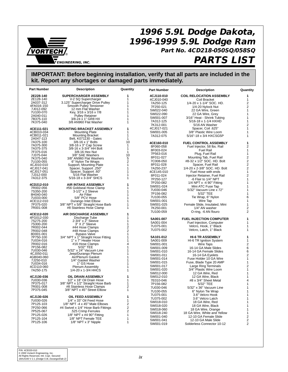

# **1996 5.9L Dodge Dakota, 1996-1999 5.9L Dodge Ram Part No. 4CD218-050SQ/058SQ**

# **PARTS LIST**

| <b>Part Number</b>       | <b>Description</b>                                            | Quantity                                  | <b>Part Number</b>     | <b>Description</b>                               | Quantity       |
|--------------------------|---------------------------------------------------------------|-------------------------------------------|------------------------|--------------------------------------------------|----------------|
| 2E228-140                | SUPERCHARGER ASSEMBLY                                         | 1                                         | 4CJ110-010             | <b>COIL RELOCATION ASSEMBLY</b>                  | 1              |
| 2E128-140                | V-2 SQ Supercharger                                           | 1                                         | 4CJ010-040             | Coil Bracket                                     | $\mathbf{1}$   |
| 2A037-312                | 3.125" Supercharger Drive Pulley                              | $\mathbf{1}$                              | 7A250-125              | 1/4-20 x 1-1/4" SOC. HD.                         | $\overline{2}$ |
| 4FA016-150               | Smooth Pulley Tensioner                                       | $\mathbf{1}$                              | 7F250-021              | 1/4-20 Nylock Nut                                | 2              |
| 7J012-092<br>7U100-070   | 12 mm Flat Washer<br>Key, 3/16 x 3/16 x 7/8                   | 1<br>1                                    | 5W022-040              | 22 GA Wire, Green                                | 1              |
| 2A040-011                | <b>Pulley Retainer</b>                                        | 1                                         | 5W022-090              | 22 GA Wire, Grey                                 | 1              |
| 7B375-110                | 3/8-24 x 1" GR8 HX                                            | 1                                         | 5W001-007              | 3/16" Heat - Shrink Tubing                       | $\mathbf{1}$   |
| 7K375-040                | 3/8 AN960 Flat Washer                                         | 1                                         | 7A312-125              | 5/16-18 x 1-1/4 HXHD                             | 1              |
|                          |                                                               |                                           | 7K312-001              | 5/16 AN Washer                                   | $\overline{2}$ |
| 4CE111-021               | <b>MOUNTING BRACKET ASSEMBLY</b>                              | 1                                         | 4CJ017-021             | Spacer, Coil .625"                               | 1              |
| 4CB010-034<br>4CB011-021 | Mounting Plate<br><b>Mounting Bracket</b>                     | 1<br>1                                    | 5W001-005              | 3/8" Plastic Wire Loom<br>5/16"-18 x 3/4 HXCSG5P | 1              |
| 2A047-113                | Belt, K071130 - Gates                                         | 1                                         | 7A312-075              |                                                  | 1              |
| 7A375-100                | 3/8-16 x 1" Bolts                                             | 10                                        | 4CE160-010             | <b>FUEL CONTROL ASSEMBLY</b>                     | 1              |
| 7A375-300                | 3/8-16 x 3" Cap Screw                                         | 1                                         | 8F060-058              | Fuel Injector, 58 lbs. Rail                      | 2              |
| 7A375-375                | 3/8-16 x 3-3/4" HH Bolt                                       | 1                                         | 8F003-024              | <b>Fuel Rail</b>                                 | $\mathbf{1}$   |
| 7F375-016                | 3/8-16 Hex Nut                                                | 1                                         | 7P563-016              | Plug, Fuel Rail                                  | 1              |
| 7J375-044<br>7K375-040   | 3/8" SAE Washers<br>3/8" AN960 Flat Washers                   | 10                                        | 8F011-027              | Mounting Tab, Fuel Rail                          | $\overline{2}$ |
| 7U100-055                | 6" Nylon Tie Wraps                                            | 5<br>2                                    | 7C008-050              | #8-32 x 1/2" SOC. HD. Bolt                       | 2              |
| 4CJ010-010               | Support, Mounting Plate                                       | $\mathbf{1}$                              | 8F011-028              | Spacer, Fuel Rail                                | 2              |
| 4CJ017-041               | Spacer, Support .250"                                         | 1                                         | 7A250-237              | 1/4-20 x 2-3/8" SOC. HD. Bolt                    | 2              |
| 4CJ017-051               | Spacer, Support .60"                                          | 1                                         | 4CE145-010             | Fuel Hose with ends                              | $\mathbf{1}$   |
| 7J312-000                | 5/16 Flat Washer                                              | 1                                         | 8F011-024              | Injector Retainer, Fuel Rail                     | $\overline{2}$ |
| 7A312-375                | 5/16-18 x 3-3/4" SHCS                                         | 1                                         | 7P250-127              | -6 Flair to 1/4" NPT                             | 1              |
| 4CD212-010               | <b>AIR INTAKE ASSEMBLY</b>                                    | 1                                         | 7P250-082              | 1/4 NPT $x - 490^\circ$ Fitting                  | 1              |
| 7R002-056                | #56 Goldseal Hose Clamp                                       | 1                                         | 5W001-024              | Mini ATC Fuse Tap                                | 1              |
| 7S350-200                | 3-1/2" x 2 Sleeve                                             | 1                                         | 7U030-046              | 5/32" Vacuum Line x 72"                          | 1              |
| 8H040-040                | Air Filter                                                    | 1                                         | 7P156-082              | 5/32" TEE                                        | 1              |
| 7U033-000                | 5/8" PCV Hose                                                 | 1                                         | 7U100-055              | Tie Wrap, 6" Nylon                               | 6              |
| 4CE112-010               | Durango Inlet Elbow                                           | 1                                         | 5W001-001              | Wire Tap                                         | $\mathbf{1}$   |
| 7P375-020<br>7R001-008   | 3/8" NPT x 5/8" Straight Hose Barb<br>#8 Stainless Hose Clamp | 1<br>1                                    | 5W001-025              | Female Slide, Insulated, Mini                    | $\mathbf{1}$   |
|                          |                                                               |                                           | 7K250-001              | 1/4" AN washer                                   | 2<br>2         |
| 4CE112-020               | AIR DISCHARGE ASSEMBLY                                        | 1                                         | 7U100-059              | O-ring, -6 AN flouro                             |                |
| 4FG012-030               | Discharge Tube                                                | 1                                         | 5A001-007              | <b>FUEL INJECTION COMPUTER</b>                   | 1              |
| 7S275-200                | 2-3/4" x 2" Sleeve                                            | 1                                         | 5A001-004              | Fuel Injection, Computer                         | 1              |
| 7S300-200                | 3" X 2" Sleeve                                                | 1                                         | 7U375-001              | Velcro, Hook, 1" Black                           | 1              |
| 7R002-044                | #44 Hose Clamps<br>#48 Hose Clamps                            | $\overline{\mathbf{c}}$<br>$\overline{c}$ | 7U375-002              | Velcro, Latch, 1" Black                          | 1              |
| 7R002-048<br>8D001-001   | Bypass Valve                                                  | 1                                         |                        |                                                  |                |
| 7P750-100                |                                                               | 1                                         | 5A101-012              | <b>HI-6 TR ASSEMBLY</b>                          | 1              |
| 7U034-016                | 3/4" NPT x 1" Straight Hose Fitting<br>1" x 7" Heater Hose    | 1                                         | 5A001-009              | HI-6 TR Ignition System                          | 1              |
| 7R002-016                | #16 Hose Clamps                                               | 4                                         | 5W001-001              | Wire Taps                                        | 2              |
| 7P156-082                | 5/32" TEE<br>5/32" x 24" Vacuum Line                          | 1                                         | 5W001-009              | 16-14 GA Male Slides                             | 6              |
| 7U030-046<br>4CJ050-011  | Jeep/Durango Plenum                                           | 1<br>1                                    | 5W001-010              | 16-14 GA Female Slides                           | 6              |
| 4GB040-060               | Air/Plenum Gasket                                             | 1                                         | 5W001-011              | 16-14 GA Eyelets                                 | $\overline{2}$ |
| 7J250-010                | 1/4" Gasket Washer                                            | 1                                         | 5W001-014              | Fuse Holder 10 GA Wire                           | $\mathbf{1}$   |
| 7U034-016                | 1" GS Hose                                                    | 1                                         | 5W001-015              | Fuse, Blade Type 20 AMP                          | 1              |
| 4CD110-060               | <b>Plenum Assembly</b>                                        | 1                                         | 5W001-017              | Large Ring Terminals                             | 2              |
| 7A250-175                | 1/4-20 x 1-3/4 HHCS                                           | 1                                         | 5W001-020              | 3/4" Plastic Wire Loom                           | 1<br>1         |
|                          |                                                               | 1                                         | 5W012-000              | 12 GA Wire, Red                                  | 1              |
| 4CJ130-036<br>7U030-036  | OIL DRAIN ASSEMBLY<br>1/2" x 18" Oil Drain Hose               | 1                                         | 5W012-010<br>7E010-046 | 12 GA Wire, Black<br>#8 x 3/4" Sheet Metal       | 4              |
| 7P375-017                | 3/8" NPT x 1/2" Straight Hose Barb                            | 1                                         | 7P156-082              | 5/32" TEE                                        | 1              |
| 7R001-008                | #8 Stainless Hose Clamps                                      | 2                                         | 7U030-046              | 5/32" x 36" Vacuum Line                          | 1              |
| 7P375-045                | 3/8" NPT x 45° Street Elbow                                   | 1                                         | 7U100-055              | 6" Nylon Tie Wrap                                | 1              |
|                          |                                                               |                                           | 7U375-001              | 3.6" Velcro Hook                                 | 1              |
| 4CJ130-026               | OIL FEED ASSEMBLY                                             | 1                                         | 7U375-002              | 3.6" Velcro Latch                                | 1              |
| 7U030-026                | 1/4" x 33" Oil Feed Hose                                      | 1                                         | 5W018-010              | 18 GA Wire, Red                                  | 1              |
| 7P125-103                | 1/8" NPT -4 x 45° Male Elbows                                 | 2                                         | 5W018-020              | 18 GA Wire, Black                                | 1              |
| 7P250-066                | #4 Swivel x 1/4" Hose Barb Fittings                           | 2                                         | 5W018-060              | 18 GA Wire, Orange                               | 1              |
| 7P525-067                | .525 Crimp Ferrules                                           | 2                                         | 5W018-240              | 18 GA Wire, White and Yellow                     | 1              |
| 7P125-026<br>7P125-104   | 1/8" NPT x #4 90° Fitting<br>1/8" NPT Female TEE              | 1<br>1                                    | 5W001-040              | 12-10 GA Female Slide                            | $\overline{2}$ |
| 7P125-106                | $1/8"$ NPT $\times$ 3" Nipple                                 | 1                                         | 5W001-041              | 12-10 GA Male Slide                              | 2              |
|                          |                                                               |                                           | 5W001-019              | Solderless Connector 10-12                       | $\overline{2}$ |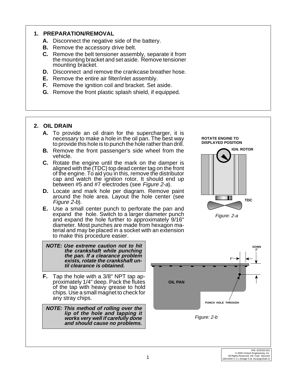### **1. PREPARATION/REMOVAL**

- **A.** Disconnect the negative side of the battery.
- **B.** Remove the accessory drive belt.
- **C.** Remove the belt tensioner assembly, separate it from the mounting bracket and set aside. Remove tensioner mounting bracket.
- **D.** Disconnect and remove the crankcase breather hose.
- **E.** Remove the entire air filter/inlet assembly.
- **F.** Remove the ignition coil and bracket. Set aside.
- **G.** Remove the front plastic splash shield, if equipped.

## **2. OIL DRAIN**

- **A.** To provide an oil drain for the supercharger, it is necessary to make a hole in the oil pan. The best way to provide this hole is to punch the hole rather than drill.
- **B.** Remove the front passenger's side wheel from the vehicle.
- **C.** Rotate the engine until the mark on the damper is aligned with the (TDC) top dead center tag on the front of the engine. To aid you in this, remove the distributor cap and watch the ignition rotor. It should end up between #5 and #7 electrodes (see Figure 2-a).
- **D.** Locate and mark hole per diagram. Remove paint around the hole area. Layout the hole center (see Figure 2-b).
- **E.** Use a small center punch to perforate the pan and expand the hole. Switch to a larger diameter punch and expand the hole further to approximately 9/16" diameter. Most punches are made from hexagon material and may be placed in a socket with an extension to make this procedure easier.



**F.** Tap the hole with a 3/8" NPT tap approximately 1/4" deep. Pack the flutes of the tap with heavy grease to hold chips. Use a small magnet to check for any stray chips.

**NOTE: This method of rolling over the lip of the hole and tapping it works very well if carefully done and should cause no problems.**



**ROTATE ENGINE TO DISPLAYED POSITION**

Figure: 2-a

M M

**TDC**

**IGN. ROTOR**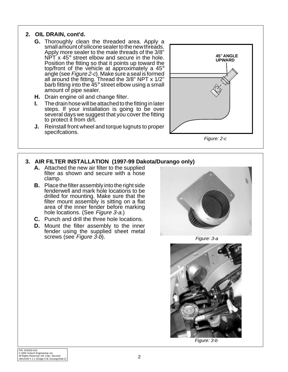#### **2. OIL DRAIN, cont'd.**

- **G.** Thoroughly clean the threaded area. Apply a small amount of silicone sealer to the new threads. Apply more sealer to the male threads of the 3/8"  $NPT x 45^\circ$  street elbow and secure in the hole. Position the fitting so that it points up toward the top/front of the vehicle at approximately a  $45^{\circ}$ top/front of the vehicle at approximately a 45°<br>angle (see *Figure 2-c*). Make sure a seal is formed all around the fitting. Thread the 3/8" NPT x 1/2" barb fitting into the 45° street elbow using a small amount of pipe sealer.
- **H.** Drain engine oil and change filter.
- **I.** The drain hose will be attached to the fitting in later steps. If your installation is going to be over several days we suggest that you cover the fitting to protect it from dirt.
- **J.** Reinstall front wheel and torque lugnuts to proper specifcations.



Figure: 2-c

## **3. AIR FILTER INSTALLATION (1997-99 Dakota/Durango only)**

- **A.** Attached the new air filter to the supplied filter as shown and secure with a hose clamp.
- **B.** Place the filter assembly into the right side fenderwell and mark hole locations to be drilled for mounting. Make sure that the filter mount assembly is sitting on a flat area of the inner fender before marking hole locations. (See Figure 3-a.)
- **C.** Punch and drill the three hole locations.
- **D.** Mount the filter assembly to the inner fender using the supplied sheet metal screws (see Figure 3-b).



Figure: 3-a



Figure: 3-b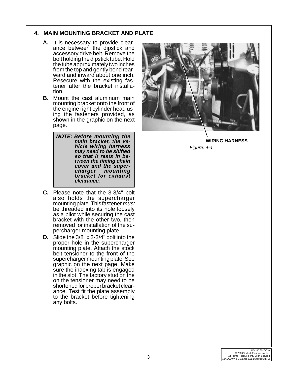## **4. MAIN MOUNTING BRACKET AND PLATE**

- **A.** It is necessary to provide clearance between the dipstick and accessory drive belt. Remove the bolt holding the dipstick tube. Hold the tube approximately two inches from the top and gently bend rearward and inward about one inch. Resecure with the existing fastener after the bracket installation.
- **B.** Mount the cast aluminum main mounting bracket onto the front of the engine right cylinder head using the fasteners provided, as shown in the graphic on the next page.

**NOTE: Before mounting the main bracket, the vehicle wiring harness may need to be shifted so that it rests in between the timing chain cover and the super**mounting **bracket for exhaust clearance.**

- **C.** Please note that the 3-3/4" bolt also holds the supercharger mounting plate. This fastener must be threaded into its hole loosely as a pilot while securing the cast bracket with the other two, then removed for installation of the supercharger mounting plate.
- **D.** Slide the 3/8" x 3-3/4" bolt into the proper hole in the supercharger mounting plate. Attach the stock belt tensioner to the front of the supercharger mounting plate. See graphic on the next page. Make sure the indexing tab is engaged in the slot. The factory stud on the on the tensioner may need to be shortened for proper bracket clearance. Test fit the plate assembly to the bracket before tightening any bolts.



**WIRING HARNESS** Figure: 4-a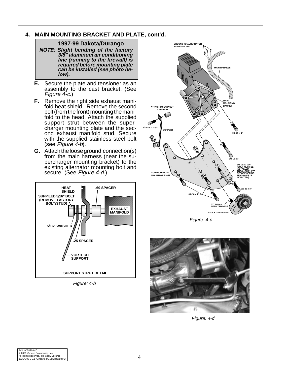## **4. MAIN MOUNTING BRACKET AND PLATE, cont'd.**

#### **1997-99 Dakota/Durango**

**NOTE: Slight bending of the factory 3/8" aluminum air conditioning line (running to the firewall) is required before mounting plate can be installed (see photo below).**

- **E.** Secure the plate and tensioner as an assembly to the cast bracket. (See Figure 4-c.)
- **F.** Remove the right side exhaust manifold heat shield. Remove the second bolt (from the front) mounting the manifold to the head. Attach the supplied support strut between the supercharger mounting plate and the second exhaust manifold stud. Secure with the supplied stainless steel bolt (see Figure 4-b).
- **G.** Attach the loose ground connection(s) from the main harness (near the supercharger mounting bracket) to the existing alternator mounting bolt and secure. (See Figure 4-d.)



Figure: 4-b







Figure: 4-d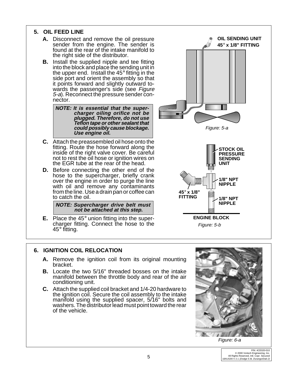

**E.** Place the 45° union fitting into the supercharger fitting. Connect the hose to the 45° fitting.

## **6. IGNITION COIL RELOCATION**

- **A.** Remove the ignition coil from its original mounting bracket.
- **B.** Locate the two 5/16" threaded bosses on the intake manifold between the throttle body and rear of the air conditioning unit.
- **C.** Attach the supplied coil bracket and 1/4-20 hardware to the ignition coil. Secure the coil assembly to the intake manifold using the supplied spacer, 5/16" bolts and washers. The distributor lead must point toward the rear of the vehicle.



Figure: 5-b

Figure: 6-a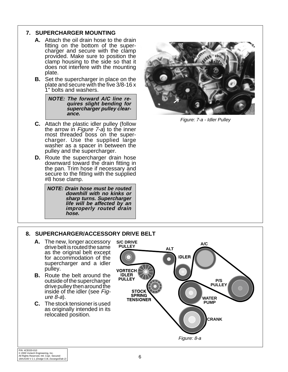## **7. SUPERCHARGER MOUNTING**

- **A.** Attach the oil drain hose to the drain fitting on the bottom of the supercharger and secure with the clamp provided. Make sure to position the clamp housing to the side so that it does not interfere with the mounting plate.
- **B.** Set the supercharger in place on the plate and secure with the five 3/8-16 x 1" bolts and washers.

**NOTE: The forward A/C line requires slight bending for supercharger pulley clearance.**

- **C.** Attach the plastic idler pulley (follow the arrow in *Figure 7-a*) to the inner most threaded boss on the supercharger. Use the supplied large washer as a spacer in between the pulley and the supercharger.
- **D.** Route the supercharger drain hose downward toward the drain fitting in the pan. Trim hose if necessary and secure to the fitting with the supplied #8 hose clamp.

**NOTE: Drain hose must be routed downhill with no kinks or sharp turns. Supercharger life will be affected by an improperly routed drain hose.**



Figure: 7-a - Idler Pulley

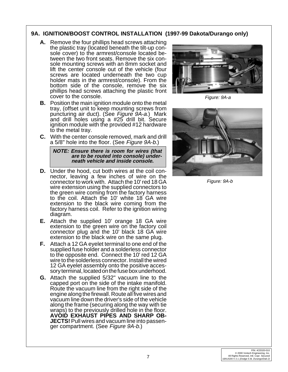## **9A. IGNITION/BOOST CONTROL INSTALLATION (1997-99 Dakota/Durango only)**

- **A.** Remove the four phillips head screws attaching the plastic tray (located beneath the tilt-up console cover) to the armrest/console located between the two front seats. Remove the six console mounting screws with an 8mm socket and lift the center console out of the vehicle (four screws are located underneath the two cup holder mats in the armrest/console). From the bottom side of the console, remove the six phillips head screws attaching the plastic front cover to the console.
- **B.** Position the main ignition module onto the metal tray, (offset unit to keep mounting screws from puncturing air duct). (See Figure 9A-a.) Mark and drill holes using a #25 drill bit. Secure ignition module with the provided #12 hardware to the metal tray.
- **C.** With the center console removed, mark and drill a 5/8" hole into the floor. (See Figure 9A-b.)

**NOTE: Ensure there is room for wires (that are to be routed into console) underneath vehicle and inside console.**

- **D.** Under the hood, cut both wires at the coil connector, leaving a few inches of wire on the connector to work with. Attach the 10' red 18 GA wire extension using the supplied connectors to the green wire coming from the factory harness to the coil. Attach the 10' white 18 GA wire extension to the black wire coming from the factory harness coil. Refer to the ignition wiring diagram.
- **E.** Attach the supplied 10' orange 18 GA wire extension to the green wire on the factory coil connector plug and the 10' black 18 GA wire extension to the black wire on the same plug.
- **F.** Attach a 12 GA eyelet terminal to one end of the supplied fuse holder and a solderless connector to the opposite end. Connect the 10' red 12 GA wire to the solderless connector. Install the wired 12 GA eyelet assembly onto the positive accessory terminal, located on the fuse box underhood.
- **G.** Attach the supplied 5/32" vacuum line to the capped port on the side of the intake manifold. Route the vacuum line from the right side of the engine along the firewall. Route all five wires and vacuum line down the driver's side of the vehicle along the frame (securing along the way with tie wraps) to the previously drilled hole in the floor. **AVOID EXHAUST PIPES AND SHARP OB-JECTS!** Pull wires and vacuum line into passenger compartment. (See Figure 9A-b.)



Figure: 9A-a



Figure: 9A-b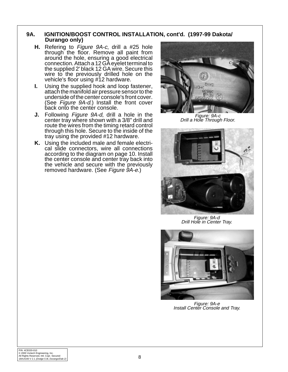#### **9A. IGNITION/BOOST CONTROL INSTALLATION, cont'd. (1997-99 Dakota/ Durango only)**

- **H.** Refering to Figure 9A-c, drill a #25 hole through the floor. Remove all paint from around the hole, ensuring a good electrical connection. Attach a 12 GA eyelet terminal to the supplied 2' black 12 GA wire. Secure this wire to the previously drilled hole on the vehicle's floor using #12 hardware.
- **I.** Using the supplied hook and loop fastener, attach the manifold air pressure sensor to the underside of the center console's front cover. (See Figure 9A-d.) Install the front cover back onto the center console.
- **J.** Following Figure 9A-d, drill a hole in the center tray where shown with a 3/8" drill and route the wires from the timing retard control through this hole. Secure to the inside of the tray using the provided #12 hardware.
- **K.** Using the included male and female electrical slide connectors, wire all connections according to the diagram on page 10. Install the center console and center tray back into the vehicle and secure with the previously removed hardware. (See Figure 9A-e.)



Figure: 9A-c Drill a Hole Through Floor.



Figure: 9A-d Drill Hole in Center Tray.



Figure: 9A-e Install Center Console and Tray.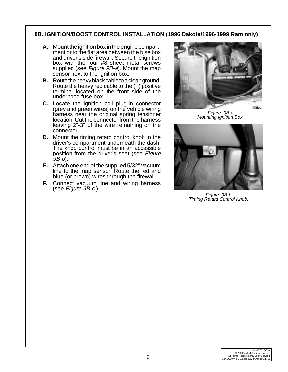## **9B. IGNITION/BOOST CONTROL INSTALLATION (1996 Dakota/1996-1999 Ram only)**

- **A.** Mount the ignition box in the engine compartment onto the flat area between the fuse box and driver's side firewall. Secure the ignition box with the four #8 sheet metal screws supplied (see *Figure 9B-a*). Mount the map sensor next to the ignition box.
- **B.** Route the heavy black cable to a clean ground. Route the heavy red cable to the (+) positive terminal located on the front side of the underhood fuse box.
- **C.** Locate the ignition coil plug-in connector (grey and green wires) on the vehicle wiring harness near the original spring tensioner location. Cut the connector from the harness leaving 2"-3" of the wire remaining on the connector.
- **D.** Mount the timing retard control knob in the driver's compartment underneath the dash. The knob control must be in an accessible position from the driver's seat (see Figure  $9B-b$ ).
- **E.** Attach one end of the supplied 5/32" vacuum line to the map sensor. Route the red and blue (or brown) wires through the firewall.
- **F.** Connect vacuum line and wiring harness (see Figure 9B-c.).



Figure: 9B-a Mounting Ignition Box.



Figure: 9B-b Timing Retard Control Knob.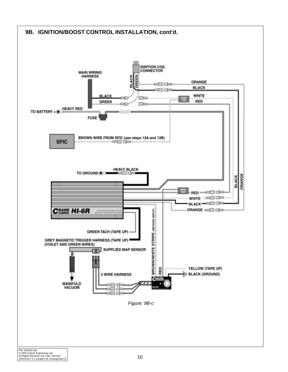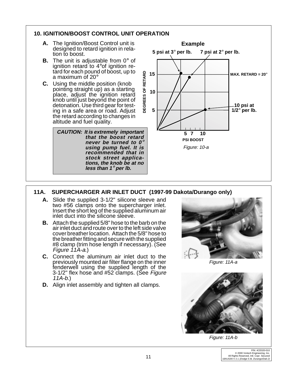

# **11A. SUPERCHARGER AIR INLET DUCT (1997-99 Dakota/Durango only)**

- **A.** Slide the supplied 3-1/2" silicone sleeve and two #56 clamps onto the supercharger inlet. Insert the short leg of the supplied aluminum air inlet duct into the silicone sleeve.
- **B.** Attach the supplied 5/8" hose to the barb on the air inlet duct and route over to the left side valve cover breather location. Attach the 5/8" hose to the breather fitting and secure with the supplied #8 clamp (trim hose length if necessary). (See Figure 11A-a.)
- **C.** Connect the aluminum air inlet duct to the previously mounted air filter flange on the inner fenderwell using the supplied length of the 3-1/2" flex hose and #52 clamps. (See Figure 11A-b.)
- **D.** Align inlet assembly and tighten all clamps.



Figure: 11A-a



Figure: 11A-b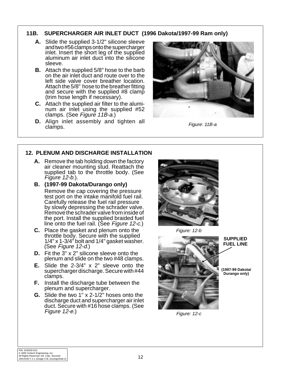## **11B. SUPERCHARGER AIR INLET DUCT (1996 Dakota/1997-99 Ram only)**

- **A.** Slide the supplied 3-1/2" silicone sleeve and two #56 clamps onto the supercharger inlet. Insert the short leg of the supplied aluminum air inlet duct into the silicone sleeve.
- **B.** Attach the supplied 5/8" hose to the barb on the air inlet duct and route over to the left side valve cover breather location. Attach the 5/8" hose to the breather fitting and secure with the supplied #8 clamp (trim hose length if necessary).
- **C.** Attach the supplied air filter to the aluminum air inlet using the supplied #52 clamps. (See Figure 11B-a.)
- **D.** Align inlet assembly and tighten all clamps.



Figure: 11B-a

# **12. PLENUM AND DISCHARGE INSTALLATION**

- **A.** Remove the tab holding down the factory air cleaner mounting stud. Reattach the supplied tab to the throttle body. (See Figure 12-b.).
- **B. (1997-99 Dakota/Durango only)** Remove the cap covering the pressure test port on the intake manifold fuel rail. Carefully release the fuel rail pressure by slowly depressing the schrader valve. Remove the schrader valve from inside of the port. Install the supplied braided fuel line onto the fuel rail. (See Figure 12-c.)
- **C.** Place the gasket and plenum onto the throttle body. Secure with the supplied 1/4" x 1-3/4" bolt and 1/4" gasket washer. (See Figure 12-d.)
- **D.** Fit the 3" x 2" silicone sleeve onto the plenum and slide on the two #48 clamps.
- **E.** Slide the 2-3/4" x 2" sleeve onto the supercharger discharge. Secure with #44 clamps.
- **F.** Install the discharge tube between the plenum and supercharger.
- **G.** Slide the two 1" x 2-1/2" hoses onto the discharge duct and supercharger air inlet duct. Secure with #16 hose clamps. (See Figure 12-e.)



Figure: 12-b



Figure: 12-c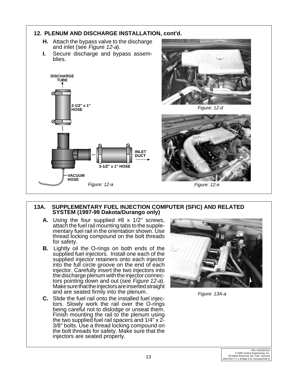

#### **13A. SUPPLEMENTARY FUEL INJECTION COMPUTER (SFIC) AND RELATED SYSTEM (1997-99 Dakota/Durango only)**

- **A.** Using the four supplied #8 x 1/2" screws, attach the fuel rail mounting tabs to the supplementary fuel rail in the orientation shown. Use thread locking compound on the bolt threads for safety.
- **B.** Lightly oil the O-rings on both ends of the supplied fuel injectors. Install one each of the supplied injector retainers onto each injector into the full circle groove on the end of each injector. Carefully insert the two injectors into the discharge plenum with the injector connectors pointing down and out (see Figure 12-a). Make sure that the injectors are inserted straight and are seated firmly into the plenum.
- **C.** Slide the fuel rail onto the installed fuel injectors. Slowly work the rail over the O-rings being careful not to dislodge or unseat them. Finish mounting the rail to the plenum using the two supplied fuel rail spacers and 1/4" x 2- 3/8" bolts. Use a thread locking compound on the bolt threads for safety. Make sure that the injectors are seated properly.



Figure: 13A-a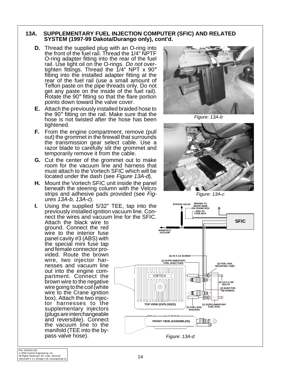#### **13A. SUPPLEMENTARY FUEL INJECTION COMPUTER (SFIC) AND RELATED SYSTEM (1997-99 Dakota/Durango only), cont'd.**

- **D.** Thread the supplied plug with an O-ring into the front of the fuel rail. Thread the 1/4" NPTF O-ring adapter fitting into the rear of the fuel rail. Use light oil on the O-rings. Do not overtighten fittings. Thread the 1/4" NPT x 90°<br>fitting into the installed adapter fitting at the rear of the fuel rail (use a small amount of Teflon paste on the pipe threads only. Do not get any paste on the inside of the fuel rail). Rotate the 90° fitting so that the flare portion points down toward the valve cover.
- **E.** Attach the previously installed braided hose to the 90° fitting on the rail. Make sure that the hose is not twisted after the hose has been tightened.
- **F.** From the engine compartment, remove (pull out) the grommet in the firewall that surrounds the transmission gear select cable. Use a razor blade to carefully slit the grommet and temporarily remove it from the cable.
- **G.** Cut the center of the grommet out to make room for the vacuum line and harness that must attach to the Vortech SFIC which will be located under the dash (see Figure 13A-d).
- **H.** Mount the Vortech SFIC unit inside the panel beneath the steering column with the Velcro strips and adhesive pads provided (see Figures 13A-b, 13A-c).
- **I.** Using the supplied 5/32" TEE, tap into the previously installed ignition vacuum line. Connect the wires and vacuum line for the SFIC.

Attach the black wire to ground. Connect the red wire to the interior fuse panel cavity #3 (ABS) with the special mini fuse tap and female connector provided. Route the brown wire, two injector harnesses and vacuum line out into the engine compartment. Connect the brown wire to the negative wire going to the coil (white wire to the Crane ignition box). Attach the two injector harnesses to the supplementary injectors (plugs are interchangeable and reversible). Connect the vacuum line to the manifold (TEE into the bypass valve hose).



Figure: 13A-b



Figure: 13A-c

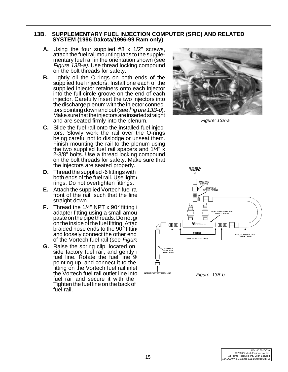#### **13B. SUPPLEMENTARY FUEL INJECTION COMPUTER (SFIC) AND RELATED SYSTEM (1996 Dakota/1996-99 Ram only)**

- **A.** Using the four supplied #8 x 1/2" screws, attach the fuel rail mounting tabs to the supplementary fuel rail in the orientation shown (see Figure 13B-a). Use thread locking compound on the bolt threads for safety.
- **B.** Lightly oil the O-rings on both ends of the supplied fuel injectors. Install one each of the supplied injector retainers onto each injector into the full circle groove on the end of each injector. Carefully insert the two injectors into the discharge plenum with the injector connectors pointing down and out (see Fig ure 13B-d). Make sure that the injectors are inserted straight and are seated firmly into the plenum.
- **C.** Slide the fuel rail onto the installed fuel injectors. Slowly work the rail over the O-rings being careful not to dislodge or unseat them. Finish mounting the rail to the plenum using the two supplied fuel rail spacers and 1/4" x 2-3/8" bolts. Use a thread locking compound on the bolt threads for safety. Make sure that the injectors are seated properly.
- **D.** Thread the supplied -6 fittings with both ends of the fuel rail. Use light  $\epsilon$ rings. Do not overtighten fittings.
- **E.** Attach the supplied Vortech fuel rail front of the rail, such that the line straight down.
- **F.** Thread the  $1/4$ " NPT  $\times$  90 $^{\circ}$  fitting in adapter fitting using a small amou paste on the pipe threads. Do not get on the inside of the fuel fitting. Attac braided hose ends to the  $90^\circ$  fitting and loosely connect the other end of the Vortech fuel rail (see Figure
- **G.** Raise the spring clip, located on side factory fuel rail, and gently  $\overline{\phantom{a}}$ fuel line. Rotate the fuel line 90 pointing up, and connect it to the fitting on the Vortech fuel rail inlet. the Vortech fuel rail outlet line into fuel rail and secure it with the Tighten the fuel line on the back of fuel rail.



Figure: 13B-a

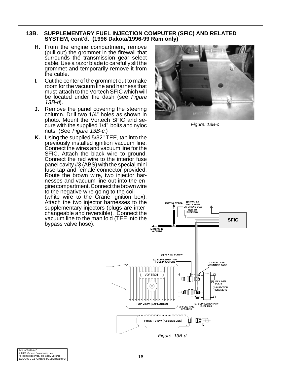#### **13B. SUPPLEMENTARY FUEL INJECTION COMPUTER (SFIC) AND RELATED SYSTEM, cont'd. (1996 Dakota/1996-99 Ram only)**

- **H.** From the engine compartment, remove (pull out) the grommet in the firewall that surrounds the transmission gear select cable. Use a razor blade to carefully slit the grommet and temporarily remove it from the cable.
- **I.** Cut the center of the grommet out to make room for the vacuum line and harness that must attach to the Vortech SFIC which will be located under the dash (see Figure 13B-d).
- **J.** Remove the panel covering the steering column. Drill two 1/4" holes as shown in photo. Mount the Vortech SFIC and secure with the supplied 1/4" bolts and nyloc nuts. (See Figure 13B-c.)
- **K.** Using the supplied 5/32" TEE, tap into the previously installed ignition vacuum line. Connect the wires and vacuum line for the SFIC. Attach the black wire to ground. Connect the red wire to the interior fuse panel cavity #3 (ABS) with the special mini fuse tap and female connector provided. Route the brown wire, two injector harnesses and vacuum line out into the engine compartment. Connect the brown wire to the negative wire going to the coil (white wire to the Crane ignition box). Attach the two injector harnesses to the supplementary injectors (plugs are interchangeable and reversible). Connect the vacuum line to the manifold (TEE into the bypass valve hose).



Figure: 13B-c

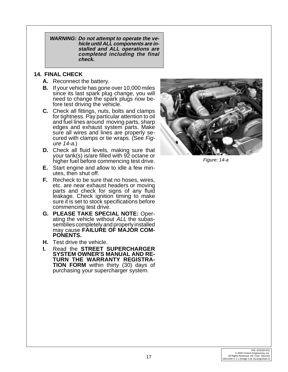**WARNING: Do not attempt to operate the vehicle until ALL components are installed and ALL operations are completed including the final check.**

### **14. FINAL CHECK**

- **A.** Reconnect the battery.
- **B.** If your vehicle has gone over 10,000 miles since its last spark plug change, you will need to change the spark plugs now before test driving the vehicle.
- **C.** Check all fittings, nuts, bolts and clamps for tightness. Pay particular attention to oil and fuel lines around moving parts, sharp edges and exhaust system parts. Make sure all wires and lines are properly secured with clamps or tie wraps. (See Figure 14-a.)
- **D.** Check all fluid levels, making sure that your tank(s) is/are filled with 92 octane or higher fuel before commencing test drive.
- **E.** Start engine and allow to idle a few minutes, then shut off.
- **F.** Recheck to be sure that no hoses, wires, etc. are near exhaust headers or moving parts and check for signs of any fluid leakage. Check ignition timing to make sure it is set to stock specifications before commencing test drive.
- **G. PLEASE TAKE SPECIAL NOTE:** Operating the vehicle without ALL the subassemblies completely and properly installed may cause **FAILURE OF MAJOR COM-PONENTS.**
- **H.** Test drive the vehicle.
- **I.** Read the **STREET SUPERCHARGER SYSTEM OWNER'S MANUAL AND RE-TURN THE WARRANTY REGISTRA-TION FORM** within thirty (30) days of purchasing your supercharger system.



Figure: 14-a